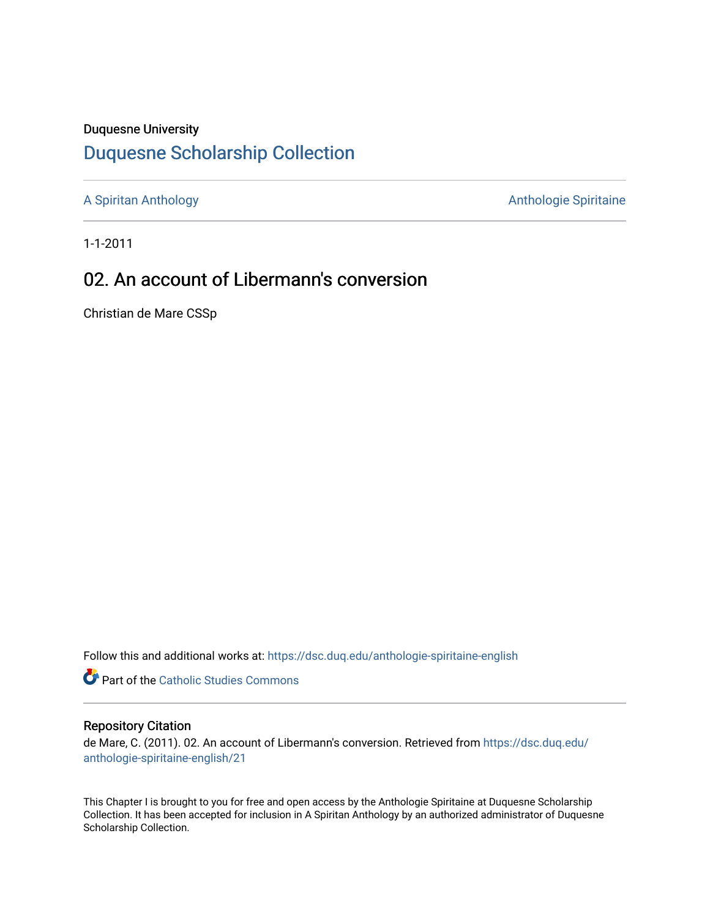### Duquesne University

## [Duquesne Scholarship Collection](https://dsc.duq.edu/)

[A Spiritan Anthology](https://dsc.duq.edu/anthologie-spiritaine-english) **Anthology** Anthologie Spiritaine

1-1-2011

# 02. An account of Libermann's conversion

Christian de Mare CSSp

Follow this and additional works at: [https://dsc.duq.edu/anthologie-spiritaine-english](https://dsc.duq.edu/anthologie-spiritaine-english?utm_source=dsc.duq.edu%2Fanthologie-spiritaine-english%2F21&utm_medium=PDF&utm_campaign=PDFCoverPages)

**Part of the [Catholic Studies Commons](http://network.bepress.com/hgg/discipline/1294?utm_source=dsc.duq.edu%2Fanthologie-spiritaine-english%2F21&utm_medium=PDF&utm_campaign=PDFCoverPages)** 

#### Repository Citation

de Mare, C. (2011). 02. An account of Libermann's conversion. Retrieved from [https://dsc.duq.edu/](https://dsc.duq.edu/anthologie-spiritaine-english/21?utm_source=dsc.duq.edu%2Fanthologie-spiritaine-english%2F21&utm_medium=PDF&utm_campaign=PDFCoverPages) [anthologie-spiritaine-english/21](https://dsc.duq.edu/anthologie-spiritaine-english/21?utm_source=dsc.duq.edu%2Fanthologie-spiritaine-english%2F21&utm_medium=PDF&utm_campaign=PDFCoverPages) 

This Chapter I is brought to you for free and open access by the Anthologie Spiritaine at Duquesne Scholarship Collection. It has been accepted for inclusion in A Spiritan Anthology by an authorized administrator of Duquesne Scholarship Collection.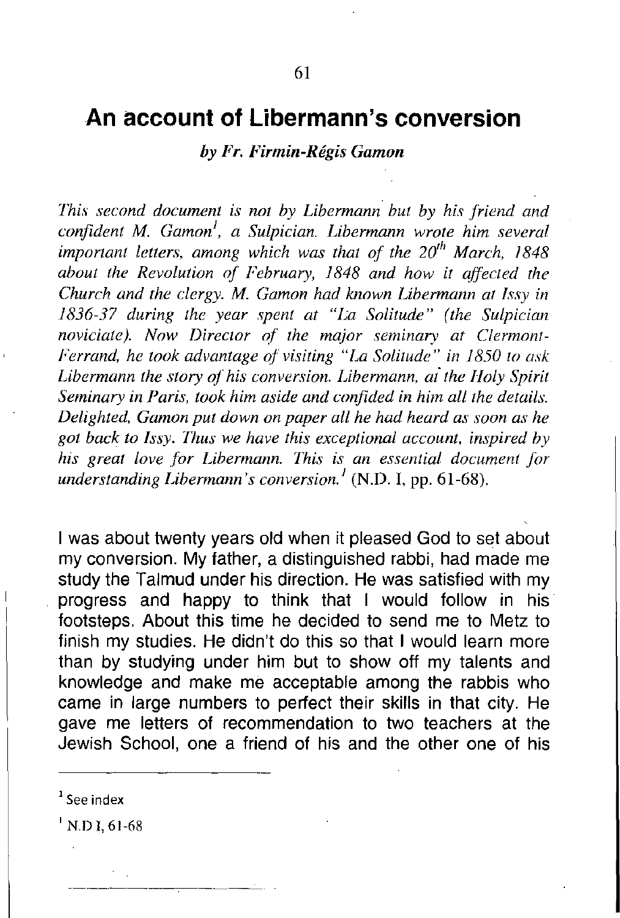### **An account of Libermann's conversion**

*by Fr. Firmin-Regis Gamon*

*lhis second document is not by Libermann but by his friend and confident M. Gamon<sup>J</sup> , a Sulpician. Libermann wrote him several important letters, among which was that of the 20th March, 1848 about the Revolution of February,* 1848 *and how it affected the Church and the clergy. M. Gamon had known Libermann a/ 1ssy in 1836-37 during the year spent at "La Solitude" (the Sulpician noviciate). Now Director of the major seminary at Clermont-Ferrand, he took advantage ot visiting "La Solitude" in 1850 to ask Libermann the story of his conversion. Libermann, ai the Holy Spirit Seminary in Paris, took him aside and confided in him all the details. Delighted, Gamon put down on paper all he had heard as soon as he got back to lssy. Thus we have this exceptional account, inspired by his great love for Libermann. This is an essential document for understanding Libermann's conversion.<sup>1</sup>* (N.D. I, pp. 61-68).

I was about twenty years old when it pleased God to set about my conversion. My father, a distinguished rabbi, had made me study the Talmud under his direction. He was satisfied with my progress and happy to think that I would follow in his footsteps. About this time he decided to send me to Metz to finish my studies. He didn't do this so that I would learn more than by studying under him but to show off my talents and knowledge and make me acceptable among the rabbis who came in large numbers to perfect their skills in that city. He gave me letters of recommendation to two teachers at the Jewish School, one a friend of his and the other one of his

 $N.D.1, 61-68$ 

**<sup>1</sup> See index**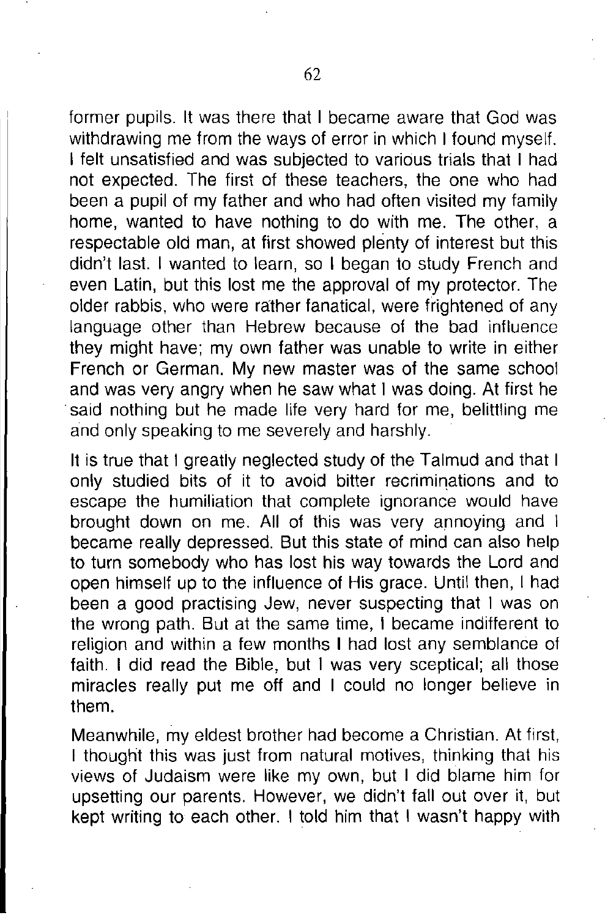former pupils. It was there that I became aware that God was withdrawing me from the ways of error in which I found myself. I felt unsatisfied and was subjected to various trials that I had not expected. The first of these teachers, the one who had been a pupil of my father and who had often visited my family home, wanted to have nothing to do with me. The other, a respectable old man, at first showed plenty of interest but this didn't last. I wanted to learn, so I began to study French and even Latin, but this lost me the approval of my protector. The older rabbis, who were rather fanatical, were frightened of any language other than Hebrew because of the bad influence they might have; my own father was unable to write in either French or German. My new master was of the same school and was very angry when he saw what I was doing. At first he said nothing but he made life very hard for me, belittling me and only speaking to me severely and harshly.

It is true that I greatly neglected study of the Talmud and that I only studied bits of it to avoid bitter recriminations and to escape the humiliation that complete ignorance would have brought down on me. All of this was very annoying and I became really depressed. But this state of mind can also help to turn somebody who has lost his way towards the Lord and open himself up to the influence of His grace. Until then, I had been a good practising Jew, never suspecting that I was on the wrong path. But at the same time, I became indifferent to religion and within a few months I had lost any semblance of faith. I did read the Bible, but I was very sceptical; all those miracles really put me off and I could no longer believe in them.

Meanwhile, my eldest brother had become a Christian. At first, I thought this was just from natural motives, thinking that his views of Judaism were like my own, but I did blame him for upsetting our parents. However, we didn't fall out over it, but kept writing to each other. I told him that I wasn't happy with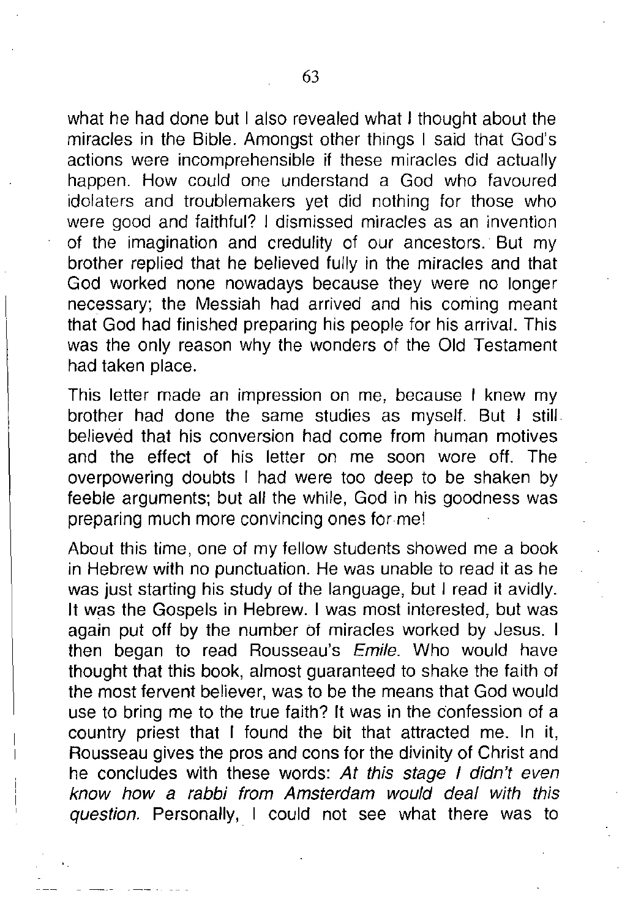what he had done but I also revealed what I thought about the miracles in the Bible. Amongst other things I said that God's actions were incomprehensible if these miracles did actually happen. How could one understand a God who favoured idolaters and troublemakers yet did nothing for those who were good and faithful? I dismissed miracles as an invention of the imagination and credulity of our ancestors. But my brother replied that he believed fully in the miracles and that God worked none nowadays because they were no longer necessary; the Messiah had arrived and his coming meant that God had finished preparing his people for his arrival. This was the only reason why the wonders of the Old Testament had taken place.

This letter made an impression on me, because I knew my brother had done the same studies as myself. But I still believed that his conversion had come from human motives and the effect of his letter on me soon wore off. The overpowering doubts I had were too deep to be shaken by feeble arguments; but all the while, God in his goodness was preparing much more convincing ones for me!

About this time, one of my fellow students showed me a book in Hebrew with no punctuation. He was unable to read it as he was just starting his study of the language, but I read it avidly. It was the Gospels in Hebrew. I was most interested, but was again put off by the number of miracles worked by Jesus. I then began to read Rousseau's *Emile.* Who would have thought that this book, almost guaranteed to shake the faith of the most fervent believer, was to be the means that God would use to bring me to the true faith? It was in the confession of a country priest that I found the bit that attracted me. In it, Rousseau gives the pros and cons for the divinity of Christ and he concludes with these words: *At this stage I didn't even know how* a *rabbi from Amsterdam would deal with this* question. Personally, I could not see what there was to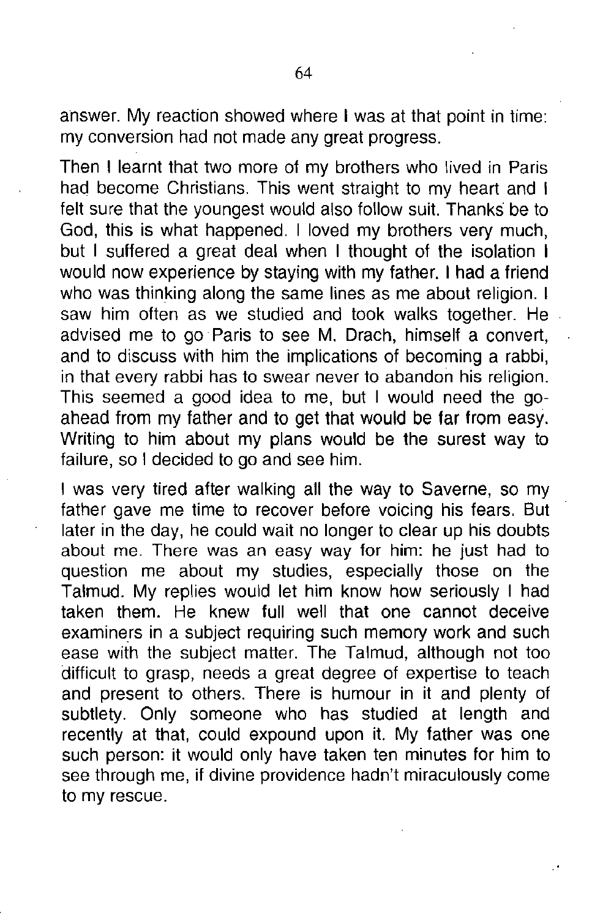answer. My reaction showed where I was at that point in time: my conversion had not made any great progress.

Then I learnt that two more of my brothers who lived in Paris had become Christians. This went straight to my heart and I felt sure that the youngest would also follow suit. Thanks be to God, this is what happened. I loved my brothers very much, but I suffered a great deal when I thought of the isolation I would now experience by staying with my father. I had a friend who was thinking along the same lines as me about religion. I saw him often as we studied and took walks together. He advised me to go Paris to see M. Drach, himself a convert, and to discuss with him the implications of becoming a rabbi, in that every rabbi has to swear never to abandon his religion. This seemed a good idea to me, but I would need the goahead from my father and to get that would be far from easy. Writing to him about my plans would be the surest way to failure, so I decided to go and see him.

I was very tired after walking all the way to Saverne, so my father gave me time to recover before voicing his fears. But later in the day, he could wait no longer to clear up his doubts about me. There was an easy way for him: he just had to question me about my studies, especially those on the Talmud. My replies would let him know how seriously I had taken them. He knew full well that one cannot deceive examiners in a subject requiring such memory work and such ease with the subject matter. The Talmud, although not too difficult to grasp, needs a great degree of expertise to teach and present to others. There is humour in it and plenty of subtlety. Only someone who has studied at length and recently at that, could expound upon it. My father was one such person: it would only have taken ten minutes for him to see through me, if divine providence hadn't miraculously come to my rescue.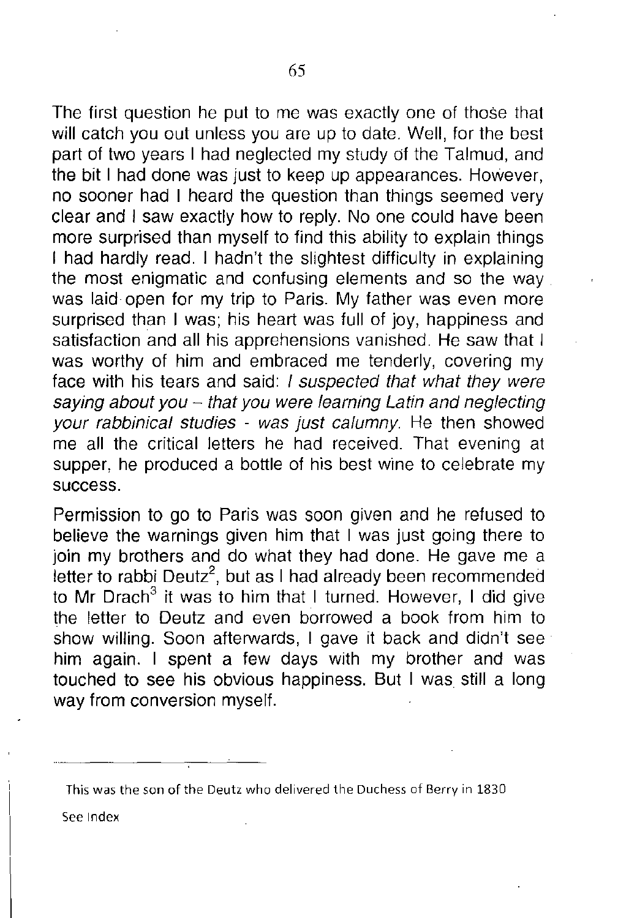The first question he put to me was exactly one of those that will catch you out unless you are up to date. Well, for the best part of two years I had neglected my study of the Talmud, and the bit I had done was just to keep up appearances. However, no sooner had I heard the question than things seemed very clear and I saw exactly how to reply. No one could have been more surprised than myself to find this ability to explain things I had hardly read. I hadn't the slightest difficulty in explaining the most enigmatic and confusing elements and so the way was laid open for my trip to Paris. My father was even more surprised than I was; his heart was full of joy, happiness and satisfaction and all his apprehensions vanished. He saw that I was worthy of him and embraced me tenderly, covering my face with his tears and said: *I suspected that what they were saying about you* - *that you were learning Latin and neglecting your rabbinical studies* - *was just calumny.* He then showed me all the critical letters he had received. That evening at supper, he produced a bottle of his best wine to celebrate my success.

Permission to go to Paris was soon given and he refused to believe the warnings given him that I was just going there to join my brothers and do what they had done. He gave me a letter to rabbi Deutz $^2$ , but as I had already been recommended to Mr Drach<sup>3</sup> it was to him that I turned. However, I did give the letter to Deutz and even borrowed a book from him to show willing. Soon afterwards, I gave it back and didn't seehim again. I spent a few days with my brother and was touched to see his obvious happiness. But I was still a long way from conversion myself.

**See Index**

**This was the son of the Deutz who delivered the Duchess of Berry in 1830**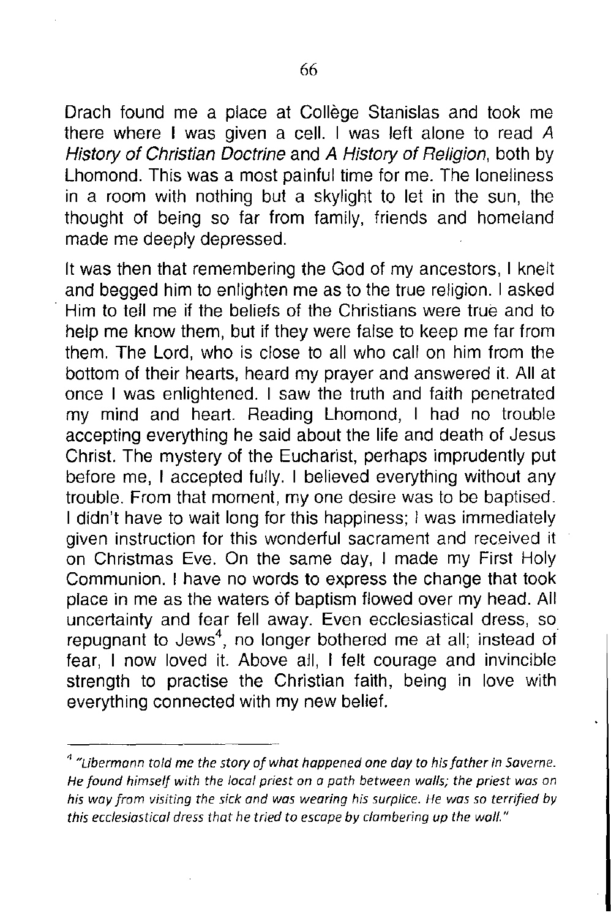Drach found me a place at College Stanislas and took me there where I was given a cell. I was left alone to read *A History of Christian Doctrine* and *A History of Religion,* both by Lhomond. This was a most painful time for me. The loneliness in a room with nothing but a skylight to let in the sun, the thought of being so far from family, friends and homeland made me deeply depressed.

It was then that remembering the God of my ancestors, I knelt and begged him to enlighten me as to the true religion. I asked . Him to tell me if the beliefs of the Christians were true and to help me know them, but if they were false to keep me far from them. The Lord, who is close to all who call on him from the bottom of their hearts, heard my prayer and answered it. All at once I was enlightened. I saw the truth and faith penetrated my mind and heart. Reading Lhomond, I had no trouble accepting everything he said about the life and death of Jesus Christ. The mystery of the Eucharist, perhaps imprudently put before me, I accepted fully. I believed everything without any trouble. From that moment, my one desire was to be baptised. I didn't have to wait long for this happiness; I was immediately given instruction for this wonderful sacrament and received it on Christmas Eve. On the same day, I made my First Holy Communion. I have no words to express the change that took place in me as the waters of baptism flowed over my head. All uncertainty and fear fell away. Even ecclesiastical dress, so repugnant to Jews<sup>4</sup>, no longer bothered me at all; instead of fear, I now loved it. Above all, I felt courage and invincible strength to practise the Christian faith, being in love with everything connected with my new belief.

<sup>4</sup> *"Libermann told* me *the story ofwhat happened one day to hisfather in 5aveme. He found himself with the local priest on a path between walls; the priest was on his way from visiting the sick and was wearing his surplice. He was so ternfied by this ecclesiastical dress that he tried to escape by clambering up the wall."*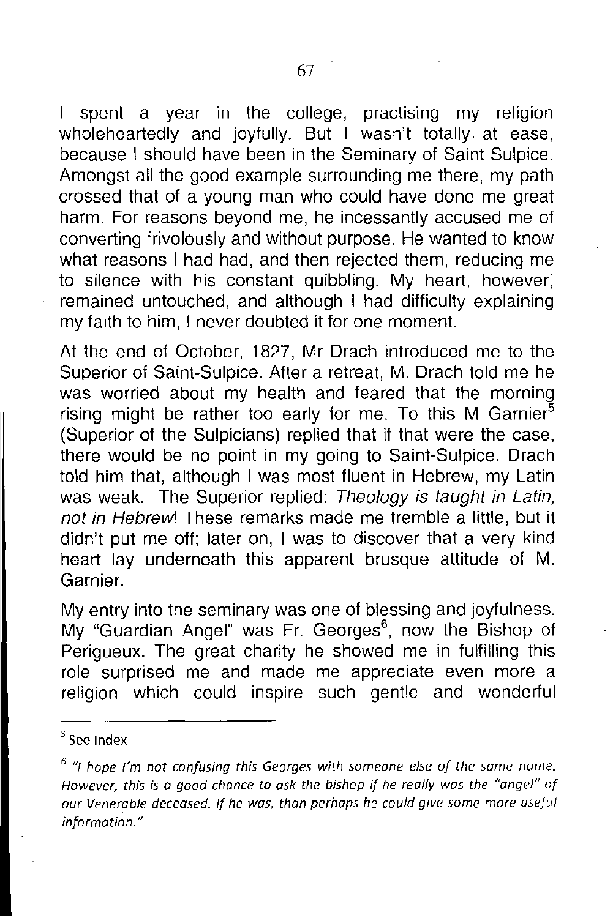I spent a year in the college, practising my religion wholeheartedly and joyfully. But I wasn't totally at ease, because I should have been in the Seminary of Saint Sulpice. Amongst all the good example surrounding me there, my path crossed that of a young man who could have done me great harm. For reasons beyond me, he incessantly accused me of converting frivolously and without purpose. He wanted to know what reasons I had had, and then rejected them, reducing me to silence with his constant quibbling. My heart, however, remained untouched, and although I had difficulty explaining my faith to him, I never doubted it for one moment.

At the end of October, 1827, Mr Drach introduced me to the Superior of Saint-Sulpice. After a retreat, M. Drach told me he was worried about my health and feared that the morning rising might be rather too early for me. To this M Garnier<sup>5</sup> (Superior of the Sulpicians) replied that if that were the case, there would be no point in my going to Saint-Sulpice. Drach told him that, although I was most fluent in Hebrew, my Latin was weak. The Superior replied: *Theology* is *taught in Latin, not in Hebrevvl* These remarks made me tremble a little, but it didn't put me off; later on, I was to discover that a very kind heart lay underneath this apparent brusque attitude of M. Garnier.

My entry into the seminary was one of blessing and joyfulness. My "Guardian Angel" was Fr. Georges<sup>6</sup>, now the Bishop of Perigueux. The great charity he showed me in fulfilling this role surprised me and made me appreciate even more a religion which could inspire such gentle and wonderful

<sup>S</sup> See **Index**

<sup>6</sup> "/ *hope* rm *not confusing this Georges with someone else of the same name. However, this is* a *good chance* to *ask the bishop if he really was the "angel" of our deceased. If he was, than perhaps he could give some more useful information. "*